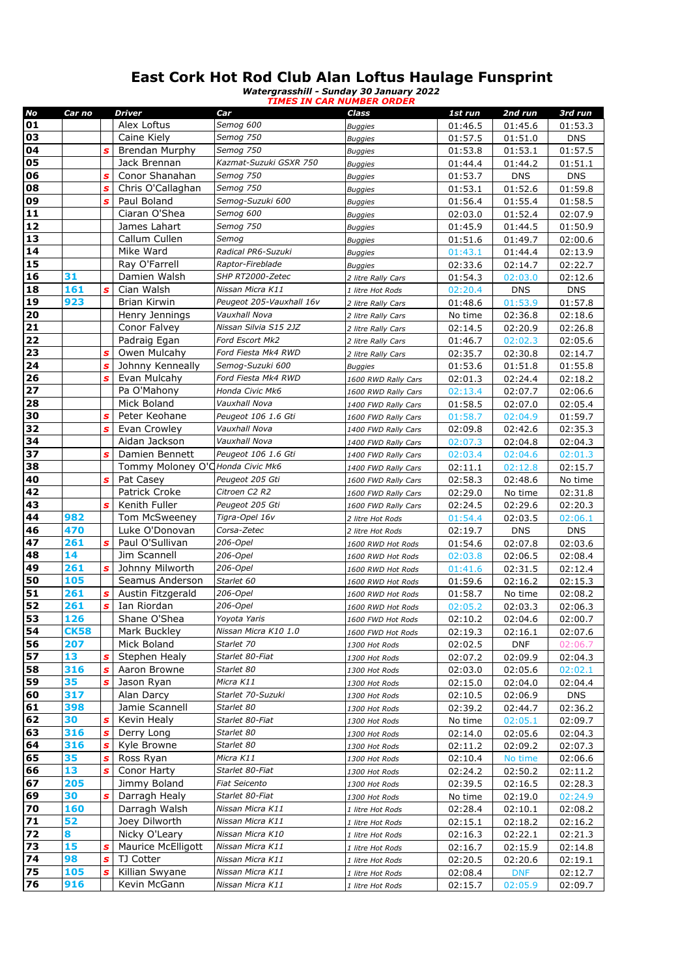## **East Cork Hot Rod Club Alan Loftus Haulage Funsprint**

*Watergrasshill - Sunday 30 January 2022 TIMES IN CAR NUMBER ORDER*

| No | Car no      |              | <b>Driver</b>                    | Car                      | Class               | 1st run | 2nd run    | 3rd run    |
|----|-------------|--------------|----------------------------------|--------------------------|---------------------|---------|------------|------------|
| 01 |             |              | Alex Loftus                      | Semog 600                | <b>Buggies</b>      | 01:46.5 | 01:45.6    | 01:53.3    |
| 03 |             |              | Caine Kiely                      | Semog 750                | <b>Buggies</b>      | 01:57.5 | 01:51.0    | <b>DNS</b> |
| 04 |             | S            | <b>Brendan Murphy</b>            | Semog 750                | <b>Buggies</b>      | 01:53.8 | 01:53.1    | 01:57.5    |
| 05 |             |              | Jack Brennan                     | Kazmat-Suzuki GSXR 750   | <b>Buggies</b>      | 01:44.4 | 01:44.2    | 01:51.1    |
| 06 |             | S            | Conor Shanahan                   | Semog 750                | Buggies             | 01:53.7 | <b>DNS</b> | <b>DNS</b> |
| 08 |             | S            | Chris O'Callaghan                | Semog 750                | Buggies             | 01:53.1 | 01:52.6    | 01:59.8    |
| 09 |             | Š            | Paul Boland                      | Semog-Suzuki 600         | <b>Buggies</b>      | 01:56.4 | 01:55.4    | 01:58.5    |
| 11 |             |              | Ciaran O'Shea                    | Semog 600                | <b>Buggies</b>      | 02:03.0 | 01:52.4    | 02:07.9    |
| 12 |             |              | James Lahart                     | Semog 750                | <b>Buggies</b>      | 01:45.9 | 01:44.5    | 01:50.9    |
| 13 |             |              | Callum Cullen                    | Semog                    | <b>Buggies</b>      | 01:51.6 | 01:49.7    | 02:00.6    |
| 14 |             |              | Mike Ward                        | Radical PR6-Suzuki       | Buggies             | 01:43.1 | 01:44.4    | 02:13.9    |
| 15 |             |              | Ray O'Farrell                    | Raptor-Fireblade         | <b>Buggies</b>      | 02:33.6 | 02:14.7    | 02:22.7    |
| 16 | 31          |              | Damien Walsh                     | SHP RT2000-Zetec         | 2 litre Rally Cars  | 01:54.3 | 02:03.0    | 02:12.6    |
| 18 | 161         | s            | Cian Walsh                       | Nissan Micra K11         | 1 litre Hot Rods    | 02:20.4 | <b>DNS</b> | <b>DNS</b> |
| 19 | 923         |              | <b>Brian Kirwin</b>              | Peugeot 205-Vauxhall 16v | 2 litre Rally Cars  | 01:48.6 | 01:53.9    | 01:57.8    |
| 20 |             |              | Henry Jennings                   | Vauxhall Nova            | 2 litre Rally Cars  | No time | 02:36.8    | 02:18.6    |
| 21 |             |              | Conor Falvey                     | Nissan Silvia S15 2JZ    | 2 litre Rally Cars  | 02:14.5 | 02:20.9    | 02:26.8    |
| 22 |             |              | Padraig Egan                     | Ford Escort Mk2          | 2 litre Rally Cars  | 01:46.7 | 02:02.3    | 02:05.6    |
| 23 |             | S            | Owen Mulcahy                     | Ford Fiesta Mk4 RWD      | 2 litre Rally Cars  | 02:35.7 | 02:30.8    | 02:14.7    |
| 24 |             | S            | Johnny Kenneally                 | Semog-Suzuki 600         | <b>Buggies</b>      | 01:53.6 | 01:51.8    | 01:55.8    |
| 26 |             | S            | Evan Mulcahy                     | Ford Fiesta Mk4 RWD      | 1600 RWD Rally Cars | 02:01.3 | 02:24.4    | 02:18.2    |
| 27 |             |              | Pa O'Mahony                      | Honda Civic Mk6          | 1600 RWD Rally Cars | 02:13.4 | 02:07.7    | 02:06.6    |
| 28 |             |              | Mick Boland                      | Vauxhall Nova            | 1400 FWD Rally Cars | 01:58.5 | 02:07.0    | 02:05.4    |
| 30 |             | S            | Peter Keohane                    | Peugeot 106 1.6 Gti      | 1600 FWD Rally Cars | 01:58.7 | 02:04.9    | 01:59.7    |
| 32 |             | $\mathbf{s}$ | Evan Crowley                     | Vauxhall Nova            | 1400 FWD Rally Cars | 02:09.8 | 02:42.6    | 02:35.3    |
| 34 |             |              | Aidan Jackson                    | Vauxhall Nova            | 1400 FWD Rally Cars | 02:07.3 | 02:04.8    | 02:04.3    |
| 37 |             | s            | Damien Bennett                   | Peugeot 106 1.6 Gti      | 1400 FWD Rally Cars | 02:03.4 | 02:04.6    | 02:01.3    |
| 38 |             |              | Tommy Moloney O'CHonda Civic Mk6 |                          | 1400 FWD Rally Cars | 02:11.1 | 02:12.8    | 02:15.7    |
| 40 |             | s            | Pat Casey                        | Peugeot 205 Gti          | 1600 FWD Rally Cars | 02:58.3 | 02:48.6    | No time    |
| 42 |             |              | Patrick Croke                    | Citroen C2 R2            | 1600 FWD Rally Cars | 02:29.0 | No time    | 02:31.8    |
| 43 |             | S            | Kenith Fuller                    | Peugeot 205 Gti          | 1600 FWD Rally Cars | 02:24.5 | 02:29.6    | 02:20.3    |
| 44 | 982         |              | Tom McSweeney                    | Tigra-Opel 16v           | 2 litre Hot Rods    | 01:54.4 | 02:03.5    | 02:06.1    |
| 46 | 470         |              | Luke O'Donovan                   | Corsa-Zetec              | 2 litre Hot Rods    | 02:19.7 | <b>DNS</b> | <b>DNS</b> |
| 47 | 261         | S            | Paul O'Sullivan                  | 206-Opel                 | 1600 RWD Hot Rods   | 01:54.6 | 02:07.8    | 02:03.6    |
| 48 | 14          |              | Jim Scannell                     | 206-Opel                 | 1600 RWD Hot Rods   | 02:03.8 | 02:06.5    | 02:08.4    |
| 49 | 261         | s            | Johnny Milworth                  | 206-Opel                 | 1600 RWD Hot Rods   | 01:41.6 | 02:31.5    | 02:12.4    |
| 50 | 105         |              | Seamus Anderson                  | Starlet 60               | 1600 RWD Hot Rods   | 01:59.6 | 02:16.2    | 02:15.3    |
| 51 | 261         | S            | Austin Fitzgerald                | 206-Opel                 | 1600 RWD Hot Rods   | 01:58.7 | No time    | 02:08.2    |
| 52 | 261         | S            | Ian Riordan                      | 206-Opel                 | 1600 RWD Hot Rods   | 02:05.2 | 02:03.3    | 02:06.3    |
| 53 | 126         |              | Shane O'Shea                     | Yoyota Yaris             | 1600 FWD Hot Rods   | 02:10.2 | 02:04.6    | 02:00.7    |
| 54 | <b>CK58</b> |              | Mark Buckley                     | Nissan Micra K10 1.0     | 1600 FWD Hot Rods   | 02:19.3 | 02:16.1    | 02:07.6    |
| 56 | 207         |              | Mick Boland                      | Starlet 70               | 1300 Hot Rods       | 02:02.5 | DNF        | 02:06.7    |
| 57 | 13          | s            | Stephen Healy                    | Starlet 80-Fiat          | 1300 Hot Rods       | 02:07.2 | 02:09.9    | 02:04.3    |
| 58 | 316         | $\mathbf{s}$ | Aaron Browne                     | Starlet 80               | 1300 Hot Rods       | 02:03.0 | 02:05.6    | 02:02.1    |
| 59 | 35          | S            | Jason Ryan                       | Micra K11                | 1300 Hot Rods       | 02:15.0 | 02:04.0    | 02:04.4    |
| 60 | 317         |              | Alan Darcy                       | Starlet 70-Suzuki        | 1300 Hot Rods       | 02:10.5 | 02:06.9    | <b>DNS</b> |
| 61 | 398         |              | Jamie Scannell                   | Starlet 80               | 1300 Hot Rods       | 02:39.2 | 02:44.7    | 02:36.2    |
| 62 | 30          | s            | Kevin Healy                      | Starlet 80-Fiat          | 1300 Hot Rods       | No time | 02:05.1    | 02:09.7    |
| 63 | 316         | S            | Derry Long                       | Starlet 80               | 1300 Hot Rods       | 02:14.0 | 02:05.6    | 02:04.3    |
| 64 | 316         | S            | Kyle Browne                      | Starlet 80               | 1300 Hot Rods       | 02:11.2 | 02:09.2    | 02:07.3    |
| 65 | 35          | s            | Ross Ryan                        | Micra K11                | 1300 Hot Rods       | 02:10.4 | No time    | 02:06.6    |
| 66 | 13          | $\mathbf{s}$ | Conor Harty                      | Starlet 80-Fiat          | 1300 Hot Rods       | 02:24.2 | 02:50.2    | 02:11.2    |
| 67 | 205         |              | Jimmy Boland                     | <b>Fiat Seicento</b>     | 1300 Hot Rods       | 02:39.5 | 02:16.5    | 02:28.3    |
| 69 | 30          | s            | Darragh Healy                    | Starlet 80-Fiat          | 1300 Hot Rods       | No time | 02:19.0    | 02:24.9    |
| 70 | 160         |              | Darragh Walsh                    | Nissan Micra K11         | 1 litre Hot Rods    | 02:28.4 | 02:10.1    | 02:08.2    |
| 71 | 52          |              | Joey Dilworth                    | Nissan Micra K11         | 1 litre Hot Rods    | 02:15.1 | 02:18.2    | 02:16.2    |
| 72 | 8           |              | Nicky O'Leary                    | Nissan Micra K10         | 1 litre Hot Rods    | 02:16.3 | 02:22.1    | 02:21.3    |
| 73 | 15          | S            | Maurice McElligott               | Nissan Micra K11         | 1 litre Hot Rods    | 02:16.7 | 02:15.9    | 02:14.8    |
| 74 | 98          | S            | TJ Cotter                        | Nissan Micra K11         | 1 litre Hot Rods    | 02:20.5 | 02:20.6    | 02:19.1    |
| 75 | 105         | s            | Killian Swyane                   | Nissan Micra K11         | 1 litre Hot Rods    | 02:08.4 | <b>DNF</b> | 02:12.7    |
| 76 | 916         |              | Kevin McGann                     | Nissan Micra K11         | 1 litre Hot Rods    | 02:15.7 | 02:05.9    | 02:09.7    |
|    |             |              |                                  |                          |                     |         |            |            |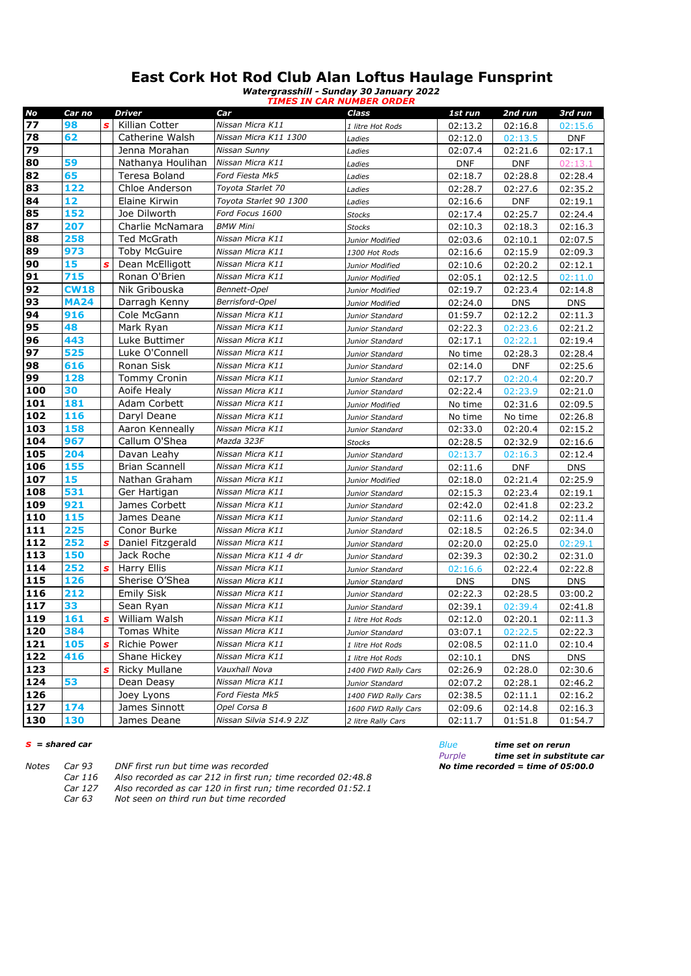## **East Cork Hot Rod Club Alan Loftus Haulage Funsprint**

*Watergrasshill - Sunday 30 January 2022*

|     |             |              |                     |                         | <b>TIMES IN CAR NUMBER ORDER</b> |            |            |            |
|-----|-------------|--------------|---------------------|-------------------------|----------------------------------|------------|------------|------------|
| No  | Car no      |              | Driver              | Car                     | Class                            | 1st run    | 2nd run    | 3rd run    |
| 77  | 98          | S            | Killian Cotter      | Nissan Micra K11        | 1 litre Hot Rods                 | 02:13.2    | 02:16.8    | 02:15.6    |
| 78  | 62          |              | Catherine Walsh     | Nissan Micra K11 1300   | Ladies                           | 02:12.0    | 02:13.5    | <b>DNF</b> |
| 79  |             |              | Jenna Morahan       | Nissan Sunny            | Ladies                           | 02:07.4    | 02:21.6    | 02:17.1    |
| 80  | 59          |              | Nathanya Houlihan   | Nissan Micra K11        | Ladies                           | <b>DNF</b> | <b>DNF</b> | 02:13.1    |
| 82  | 65          |              | Teresa Boland       | Ford Fiesta Mk5         | Ladies                           | 02:18.7    | 02:28.8    | 02:28.4    |
| 83  | 122         |              | Chloe Anderson      | Toyota Starlet 70       | Ladies                           | 02:28.7    | 02:27.6    | 02:35.2    |
| 84  | 12          |              | Elaine Kirwin       | Toyota Starlet 90 1300  | Ladies                           | 02:16.6    | <b>DNF</b> | 02:19.1    |
| 85  | 152         |              | Joe Dilworth        | Ford Focus 1600         | Stocks                           | 02:17.4    | 02:25.7    | 02:24.4    |
| 87  | 207         |              | Charlie McNamara    | <b>BMW Mini</b>         | <b>Stocks</b>                    | 02:10.3    | 02:18.3    | 02:16.3    |
| 88  | 258         |              | Ted McGrath         | Nissan Micra K11        | Junior Modified                  | 02:03.6    | 02:10.1    | 02:07.5    |
| 89  | 973         |              | <b>Toby McGuire</b> | Nissan Micra K11        | 1300 Hot Rods                    | 02:16.6    | 02:15.9    | 02:09.3    |
| 90  | 15          | s            | Dean McElligott     | Nissan Micra K11        | Junior Modified                  | 02:10.6    | 02:20.2    | 02:12.1    |
| 91  | 715         |              | Ronan O'Brien       | Nissan Micra K11        | Junior Modified                  | 02:05.1    | 02:12.5    | 02:11.0    |
| 92  | <b>CW18</b> |              | Nik Gribouska       | Bennett-Opel            | Junior Modified                  | 02:19.7    | 02:23.4    | 02:14.8    |
| 93  | <b>MA24</b> |              | Darragh Kenny       | Berrisford-Opel         | Junior Modified                  | 02:24.0    | <b>DNS</b> | <b>DNS</b> |
| 94  | 916         |              | Cole McGann         | Nissan Micra K11        | Junior Standard                  | 01:59.7    | 02:12.2    | 02:11.3    |
| 95  | 48          |              | Mark Ryan           | Nissan Micra K11        | Junior Standard                  | 02:22.3    | 02:23.6    | 02:21.2    |
| 96  | 443         |              | Luke Buttimer       | Nissan Micra K11        | Junior Standard                  | 02:17.1    | 02:22.1    | 02:19.4    |
| 97  | 525         |              | Luke O'Connell      | Nissan Micra K11        | Junior Standard                  | No time    | 02:28.3    | 02:28.4    |
| 98  | 616         |              | Ronan Sisk          | Nissan Micra K11        | Junior Standard                  | 02:14.0    | <b>DNF</b> | 02:25.6    |
| 99  | 128         |              | <b>Tommy Cronin</b> | Nissan Micra K11        | Junior Standard                  | 02:17.7    | 02:20.4    | 02:20.7    |
| 100 | 30          |              | Aoife Healy         | Nissan Micra K11        | Junior Standard                  | 02:22.4    | 02:23.9    | 02:21.0    |
| 101 | 181         |              | Adam Corbett        | Nissan Micra K11        | Junior Modified                  | No time    | 02:31.6    | 02:09.5    |
| 102 | 116         |              | Daryl Deane         | Nissan Micra K11        | Junior Standard                  | No time    | No time    | 02:26.8    |
| 103 | 158         |              | Aaron Kenneally     | Nissan Micra K11        | Junior Standard                  | 02:33.0    | 02:20.4    | 02:15.2    |
| 104 | 967         |              | Callum O'Shea       | Mazda 323F              | Stocks                           | 02:28.5    | 02:32.9    | 02:16.6    |
| 105 | 204         |              | Davan Leahy         | Nissan Micra K11        | Junior Standard                  | 02:13.7    | 02:16.3    | 02:12.4    |
| 106 | 155         |              | Brian Scannell      | Nissan Micra K11        | Junior Standard                  | 02:11.6    | <b>DNF</b> | <b>DNS</b> |
| 107 | 15          |              | Nathan Graham       | Nissan Micra K11        | Junior Modified                  | 02:18.0    | 02:21.4    | 02:25.9    |
| 108 | 531         |              | Ger Hartigan        | Nissan Micra K11        | Junior Standard                  | 02:15.3    | 02:23.4    | 02:19.1    |
| 109 | 921         |              | James Corbett       | Nissan Micra K11        | Junior Standard                  | 02:42.0    | 02:41.8    | 02:23.2    |
| 110 | 115         |              | James Deane         | Nissan Micra K11        | Junior Standard                  | 02:11.6    | 02:14.2    | 02:11.4    |
| 111 | 225         |              | Conor Burke         | Nissan Micra K11        | Junior Standard                  | 02:18.5    | 02:26.5    | 02:34.0    |
| 112 | 252         | s            | Daniel Fitzgerald   | Nissan Micra K11        | Junior Standard                  | 02:20.0    | 02:25.0    | 02:29.1    |
| 113 | 150         |              | Jack Roche          | Nissan Micra K11 4 dr   | Junior Standard                  | 02:39.3    | 02:30.2    | 02:31.0    |
| 114 | 252         | $\mathbf{s}$ | Harry Ellis         | Nissan Micra K11        | Junior Standard                  | 02:16.6    | 02:22.4    | 02:22.8    |
| 115 | 126         |              | Sherise O'Shea      | Nissan Micra K11        | Junior Standard                  | <b>DNS</b> | <b>DNS</b> | <b>DNS</b> |
| 116 | 212         |              | <b>Emily Sisk</b>   | Nissan Micra K11        | Junior Standard                  | 02:22.3    | 02:28.5    | 03:00.2    |
| 117 | 33          |              | Sean Ryan           | Nissan Micra K11        | Junior Standard                  | 02:39.1    | 02:39.4    | 02:41.8    |
| 119 | 161         |              | William Walsh       | Nissan Micra K11        | 1 litre Hot Rods                 | 02:12.0    | 02:20.1    | 02:11.3    |
| 120 | 384         |              | Tomas White         | Nissan Micra K11        | Junior Standard                  | 03:07.1    | 02:22.5    | 02:22.3    |
| 121 | 105         | s            | Richie Power        | Nissan Micra K11        | 1 litre Hot Rods                 | 02:08.5    | 02:11.0    | 02:10.4    |
| 122 | 416         |              | Shane Hickey        | Nissan Micra K11        | 1 litre Hot Rods                 | 02:10.1    | DNS        | DNS        |
| 123 |             | s            | Ricky Mullane       | Vauxhall Nova           | 1400 FWD Rally Cars              | 02:26.9    | 02:28.0    | 02:30.6    |
| 124 | 53          |              | Dean Deasy          | Nissan Micra K11        | Junior Standard                  | 02:07.2    | 02:28.1    | 02:46.2    |
| 126 |             |              | Joey Lyons          | Ford Fiesta Mk5         | 1400 FWD Rally Cars              | 02:38.5    | 02:11.1    | 02:16.2    |
| 127 | 174         |              | James Sinnott       | Opel Corsa B            | 1600 FWD Rally Cars              | 02:09.6    | 02:14.8    | 02:16.3    |
| 130 | 130         |              | James Deane         | Nissan Silvia S14.9 2JZ | 2 litre Rally Cars               | 02:11.7    | 01:51.8    | 01:54.7    |

|       |         |                                                              | .                                  |
|-------|---------|--------------------------------------------------------------|------------------------------------|
| Notes | Car 93  | DNF first run but time was recorded                          | No time recorded = time of 05:00.0 |
|       | Car 116 | Also recorded as car 212 in first run; time recorded 02:48.8 |                                    |
|       | Car 127 | Also recorded as car 120 in first run; time recorded 01:52.1 |                                    |
|       | Car 63  | Not seen on third run but time recorded                      |                                    |

*s = shared car Blue time set on rerun Purple time set in substitute car*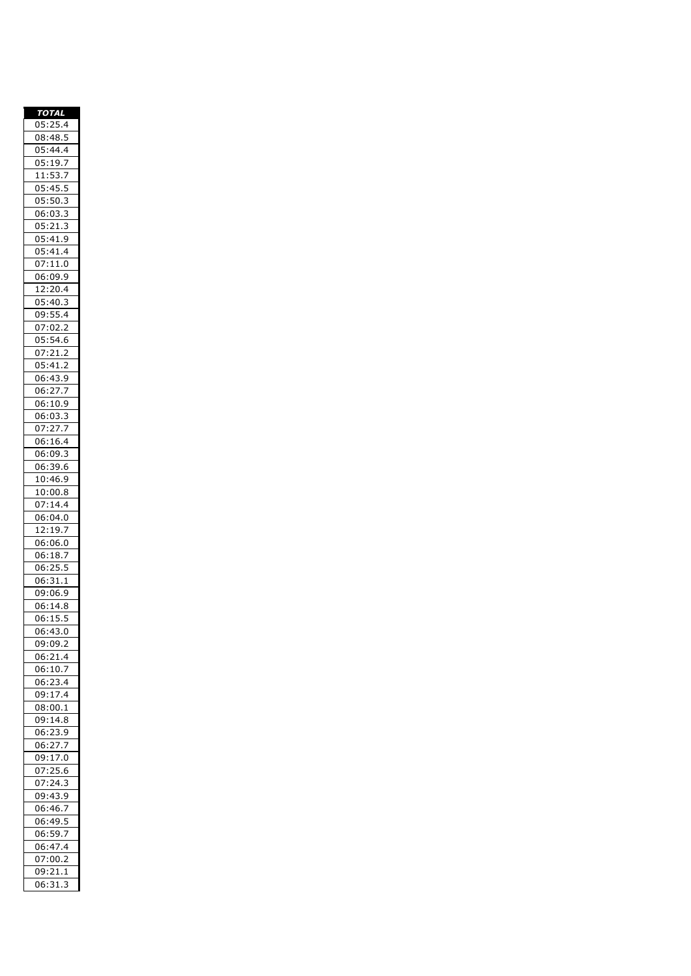| <b>TOTAL</b>                                                        |
|---------------------------------------------------------------------|
| 05:25.4                                                             |
| 08:48.5                                                             |
| 05<br>:44.4                                                         |
| 05<br>:19.7                                                         |
| $\overline{11}$<br>$\overline{53.7}$<br>:                           |
| 05                                                                  |
| :45.5                                                               |
| 05:50.3                                                             |
| 06:03.3<br>3                                                        |
| 05<br>$\overline{c}$<br>$\overline{1}$<br>$\cdot$ <sup>3</sup><br>i |
| 05:41.9                                                             |
| :41.4<br>05                                                         |
| :11.0<br>0 <sub>2</sub>                                             |
| 06:09.9                                                             |
| 12:20.4                                                             |
| 05<br>:40.<br>3                                                     |
| 09:55.4                                                             |
|                                                                     |
| :02.2<br>07                                                         |
| $\overline{0}$ 5:54.6                                               |
| $\overline{07:21.2}$<br>$\overline{ }$                              |
| 05<br>:41<br>$\overline{.2}$                                        |
| 06:43.9                                                             |
| $\cdot$<br>06:27                                                    |
| 06:10.9                                                             |
| 06:03.3                                                             |
| 07:27<br>$\cdot$                                                    |
| 06:16<br>$\overline{\mathcal{L}}$                                   |
| 06:09.3                                                             |
| :39.6                                                               |
| 06                                                                  |
| 10:46.9                                                             |
| 10:00.8                                                             |
| 07<br>:14.4                                                         |
| 06:04.0                                                             |
| 19.7<br>12<br>$\vdots$                                              |
| 06:06.0                                                             |
| 06:18.7                                                             |
| 06:25.<br>5                                                         |
| 06:<br>31<br>$\mathbf{1}$                                           |
| 09:06.9                                                             |
| 14.8<br>06:                                                         |
| $\overline{1}$<br>5.<br>5<br>06:                                    |
| 06:43.0<br>ງ                                                        |
| 09:09.2                                                             |
| 06:21.4                                                             |
| 06:10.7                                                             |
| 23.4<br>06:                                                         |
| 09:17.4                                                             |
|                                                                     |
| 08:00.1                                                             |
| 09:<br>14.8                                                         |
| 06:<br>23.9                                                         |
| 06:27.7                                                             |
| 09:17.0                                                             |
| 07:25.6                                                             |
| : 24.3<br>07                                                        |
| 09:43<br>9                                                          |
| 06:46.7                                                             |
| 06:49.5                                                             |
| $\overline{0}$ 6:59.7                                               |
| 06:47.4                                                             |
|                                                                     |
|                                                                     |
| 07:00.2<br>09:21.1                                                  |
| 06:31.<br>3                                                         |